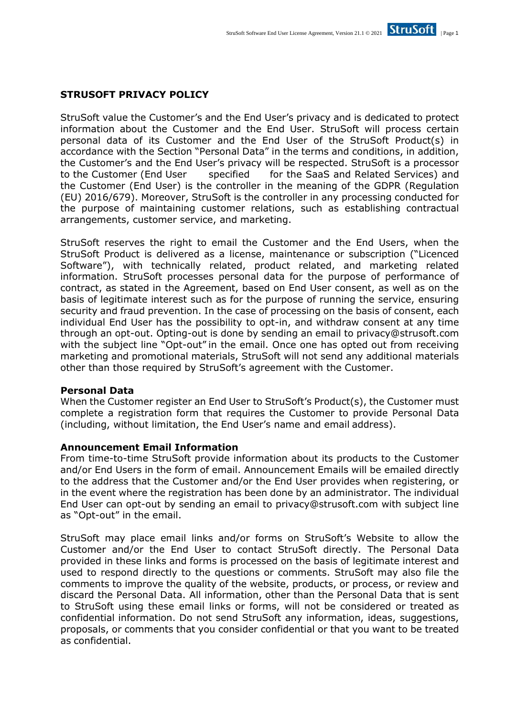# **STRUSOFT PRIVACY POLICY**

StruSoft value the Customer's and the End User's privacy and is dedicated to protect information about the Customer and the End User. StruSoft will process certain personal data of its Customer and the End User of the StruSoft Product(s) in accordance with the Section "Personal Data" in the terms and conditions, in addition, the Customer's and the End User's privacy will be respected. StruSoft is a processor to the Customer (End User specified for the SaaS and Related Services) and the Customer (End User) is the controller in the meaning of the GDPR (Regulation (EU) 2016/679). Moreover, StruSoft is the controller in any processing conducted for the purpose of maintaining customer relations, such as establishing contractual arrangements, customer service, and marketing.

StruSoft reserves the right to email the Customer and the End Users, when the StruSoft Product is delivered as a license, maintenance or subscription ("Licenced Software"), with technically related, product related, and marketing related information. StruSoft processes personal data for the purpose of performance of contract, as stated in the Agreement, based on End User consent, as well as on the basis of legitimate interest such as for the purpose of running the service, ensuring security and fraud prevention. In the case of processing on the basis of consent, each individual End User has the possibility to opt-in, and withdraw consent at any time through an opt-out. Opting-out is done by sending an email to [privacy@strusoft.com](mailto:privacy@strusoft.com)  with the subject line "Opt-out" in the email. Once one has opted out from receiving marketing and promotional materials, StruSoft will not send any additional materials other than those required by StruSoft's agreement with the Customer.

### **Personal Data**

When the Customer register an End User to StruSoft's Product(s), the Customer must complete a registration form that requires the Customer to provide Personal Data (including, without limitation, the End User's name and email address).

### **Announcement Email Information**

From time-to-time StruSoft provide information about its products to the Customer and/or End Users in the form of email. Announcement Emails will be emailed directly to the address that the Customer and/or the End User provides when registering, or in the event where the registration has been done by an administrator. The individual End User can opt-out by sending an email to [privacy@strusoft.com w](mailto:privacy@strusoft.com)ith subject line as "Opt-out" in the email.

StruSoft may place email links and/or forms on StruSoft's Website to allow the Customer and/or the End User to contact StruSoft directly. The Personal Data provided in these links and forms is processed on the basis of legitimate interest and used to respond directly to the questions or comments. StruSoft may also file the comments to improve the quality of the website, products, or process, or review and discard the Personal Data. All information, other than the Personal Data that is sent to StruSoft using these email links or forms, will not be considered or treated as confidential information. Do not send StruSoft any information, ideas, suggestions, proposals, or comments that you consider confidential or that you want to be treated as confidential.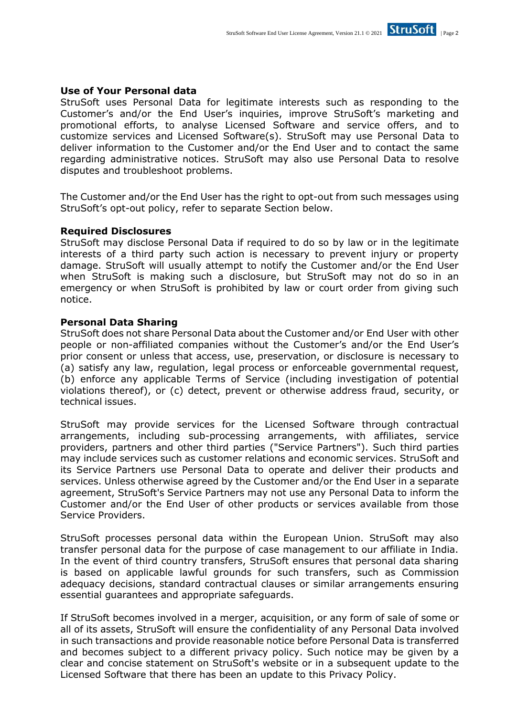

StruSoft uses Personal Data for legitimate interests such as responding to the Customer's and/or the End User's inquiries, improve StruSoft's marketing and promotional efforts, to analyse Licensed Software and service offers, and to customize services and Licensed Software(s). StruSoft may use Personal Data to deliver information to the Customer and/or the End User and to contact the same regarding administrative notices. StruSoft may also use Personal Data to resolve disputes and troubleshoot problems.

The Customer and/or the End User has the right to opt-out from such messages using StruSoft's opt-out policy, refer to separate Section below.

### **Required Disclosures**

StruSoft may disclose Personal Data if required to do so by law or in the legitimate interests of a third party such action is necessary to prevent injury or property damage. StruSoft will usually attempt to notify the Customer and/or the End User when StruSoft is making such a disclosure, but StruSoft may not do so in an emergency or when StruSoft is prohibited by law or court order from giving such notice.

### **Personal Data Sharing**

StruSoft does not share Personal Data about the Customer and/or End User with other people or non-affiliated companies without the Customer's and/or the End User's prior consent or unless that access, use, preservation, or disclosure is necessary to (a) satisfy any law, regulation, legal process or enforceable governmental request, (b) enforce any applicable Terms of Service (including investigation of potential violations thereof), or (c) detect, prevent or otherwise address fraud, security, or technical issues.

StruSoft may provide services for the Licensed Software through contractual arrangements, including sub-processing arrangements, with affiliates, service providers, partners and other third parties ("Service Partners"). Such third parties may include services such as customer relations and economic services. StruSoft and its Service Partners use Personal Data to operate and deliver their products and services. Unless otherwise agreed by the Customer and/or the End User in a separate agreement, StruSoft's Service Partners may not use any Personal Data to inform the Customer and/or the End User of other products or services available from those Service Providers.

StruSoft processes personal data within the European Union. StruSoft may also transfer personal data for the purpose of case management to our affiliate in India. In the event of third country transfers, StruSoft ensures that personal data sharing is based on applicable lawful grounds for such transfers, such as Commission adequacy decisions, standard contractual clauses or similar arrangements ensuring essential guarantees and appropriate safeguards.

If StruSoft becomes involved in a merger, acquisition, or any form of sale of some or all of its assets, StruSoft will ensure the confidentiality of any Personal Data involved in such transactions and provide reasonable notice before Personal Data is transferred and becomes subject to a different privacy policy. Such notice may be given by a clear and concise statement on StruSoft's website or in a subsequent update to the Licensed Software that there has been an update to this Privacy Policy.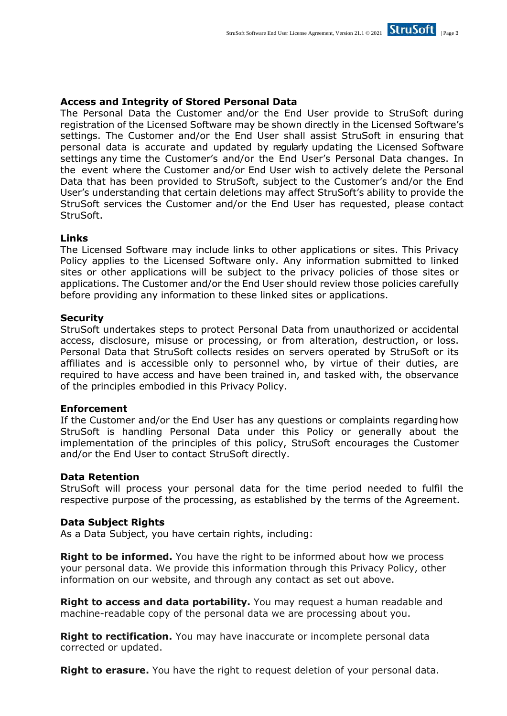## **Access and Integrity of Stored Personal Data**

The Personal Data the Customer and/or the End User provide to StruSoft during registration of the Licensed Software may be shown directly in the Licensed Software's settings. The Customer and/or the End User shall assist StruSoft in ensuring that personal data is accurate and updated by regularly updating the Licensed Software settings any time the Customer's and/or the End User's Personal Data changes. In the event where the Customer and/or End User wish to actively delete the Personal Data that has been provided to StruSoft, subject to the Customer's and/or the End User's understanding that certain deletions may affect StruSoft's ability to provide the StruSoft services the Customer and/or the End User has requested, please contact StruSoft.

### **Links**

The Licensed Software may include links to other applications or sites. This Privacy Policy applies to the Licensed Software only. Any information submitted to linked sites or other applications will be subject to the privacy policies of those sites or applications. The Customer and/or the End User should review those policies carefully before providing any information to these linked sites or applications.

### **Security**

StruSoft undertakes steps to protect Personal Data from unauthorized or accidental access, disclosure, misuse or processing, or from alteration, destruction, or loss. Personal Data that StruSoft collects resides on servers operated by StruSoft or its affiliates and is accessible only to personnel who, by virtue of their duties, are required to have access and have been trained in, and tasked with, the observance of the principles embodied in this Privacy Policy.

### **Enforcement**

If the Customer and/or the End User has any questions or complaints regardinghow StruSoft is handling Personal Data under this Policy or generally about the implementation of the principles of this policy, StruSoft encourages the Customer and/or the End User to contact StruSoft directly.

### **Data Retention**

StruSoft will process your personal data for the time period needed to fulfil the respective purpose of the processing, as established by the terms of the Agreement.

### **Data Subject Rights**

As a Data Subject, you have certain rights, including:

**Right to be informed.** You have the right to be informed about how we process your personal data. We provide this information through this Privacy Policy, other information on our website, and through any contact as set out above.

**Right to access and data portability.** You may request a human readable and machine-readable copy of the personal data we are processing about you.

**Right to rectification.** You may have inaccurate or incomplete personal data corrected or updated.

**Right to erasure.** You have the right to request deletion of your personal data.